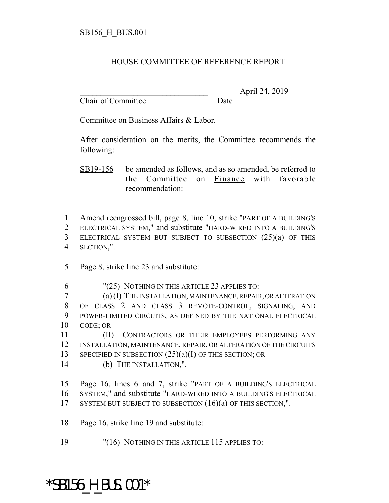## HOUSE COMMITTEE OF REFERENCE REPORT

Chair of Committee Date

\_\_\_\_\_\_\_\_\_\_\_\_\_\_\_\_\_\_\_\_\_\_\_\_\_\_\_\_\_\_\_ April 24, 2019

Committee on Business Affairs & Labor.

After consideration on the merits, the Committee recommends the following:

SB19-156 be amended as follows, and as so amended, be referred to the Committee on Finance with favorable recommendation:

 Amend reengrossed bill, page 8, line 10, strike "PART OF A BUILDING'S ELECTRICAL SYSTEM," and substitute "HARD-WIRED INTO A BUILDING'S ELECTRICAL SYSTEM BUT SUBJECT TO SUBSECTION (25)(a) OF THIS SECTION,".

- 5 Page 8, strike line 23 and substitute:
- 6 "(25) NOTHING IN THIS ARTICLE 23 APPLIES TO:

 (a) (I) THE INSTALLATION, MAINTENANCE, REPAIR, OR ALTERATION OF CLASS 2 AND CLASS 3 REMOTE-CONTROL, SIGNALING, AND POWER-LIMITED CIRCUITS, AS DEFINED BY THE NATIONAL ELECTRICAL 10 CODE; OR

11 (II) CONTRACTORS OR THEIR EMPLOYEES PERFORMING ANY 12 INSTALLATION, MAINTENANCE, REPAIR, OR ALTERATION OF THE CIRCUITS 13 SPECIFIED IN SUBSECTION  $(25)(a)(I)$  OF THIS SECTION; OR

14 (b) THE INSTALLATION,".

15 Page 16, lines 6 and 7, strike "PART OF A BUILDING'S ELECTRICAL 16 SYSTEM," and substitute "HARD-WIRED INTO A BUILDING'S ELECTRICAL 17 SYSTEM BUT SUBJECT TO SUBSECTION (16)(a) OF THIS SECTION,".

- 18 Page 16, strike line 19 and substitute:
- 19 "(16) NOTHING IN THIS ARTICLE 115 APPLIES TO:

## \*SB156\_H\_BUS.001\*